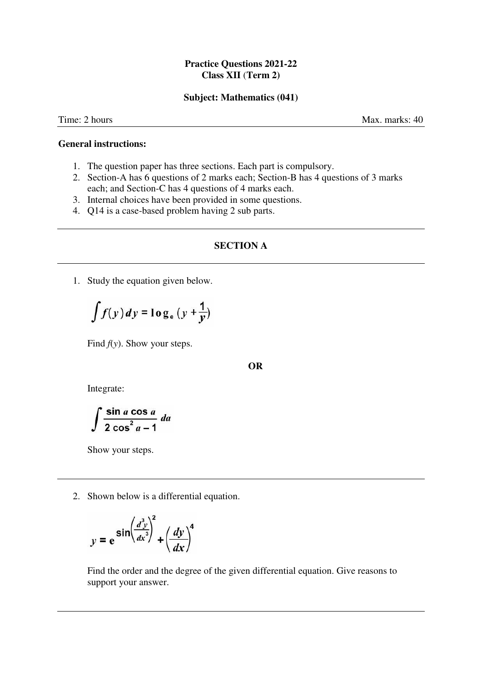## **Practice Questions 2021-22 Class XII** (**Term 2)**

#### **Subject: Mathematics (041)**

Time: 2 hours Max. marks: 40

#### **General instructions:**

- 1. The question paper has three sections. Each part is compulsory.
- 2. Section-A has 6 questions of 2 marks each; Section-B has 4 questions of 3 marks each; and Section-C has 4 questions of 4 marks each.
- 3. Internal choices have been provided in some questions.
- 4. Q14 is a case-based problem having 2 sub parts.

### **SECTION A**

1. Study the equation given below.

$$
\int f(y) \, dy = \log_e \left( y + \frac{1}{y} \right)
$$

Find *f*(*y*). Show your steps.

**OR**

Integrate:

$$
\int \frac{\sin a \cos a}{2 \cos^2 a - 1} \, da
$$

Show your steps.

2. Shown below is a differential equation.

$$
y = e^{\sin\left(\frac{d^3y}{dx^3}\right)^2} + \left(\frac{dy}{dx}\right)^4
$$

Find the order and the degree of the given differential equation. Give reasons to support your answer.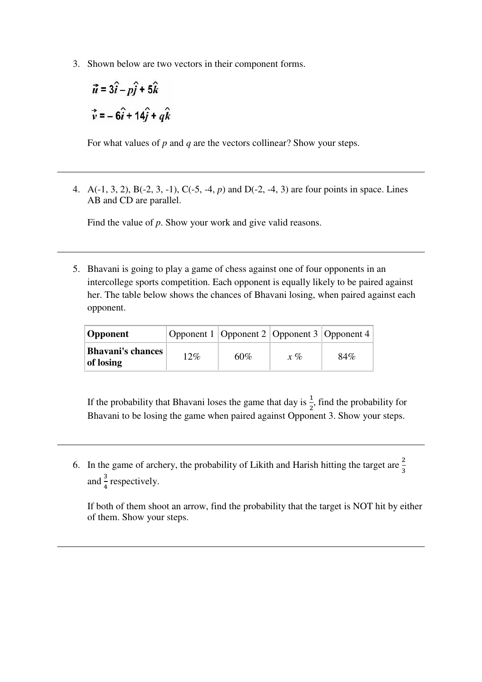3. Shown below are two vectors in their component forms.

$$
\vec{u} = 3\hat{i} - p\hat{j} + 5\hat{k}
$$
  

$$
\vec{v} = -6\hat{i} + 14\hat{j} + q\hat{k}
$$

For what values of *p* and *q* are the vectors collinear? Show your steps.

4. A(-1, 3, 2), B(-2, 3, -1), C(-5, *-*4, *p*) and D(-2, -4, 3) are four points in space. Lines AB and CD are parallel.

Find the value of *p*. Show your work and give valid reasons.

5. Bhavani is going to play a game of chess against one of four opponents in an intercollege sports competition. Each opponent is equally likely to be paired against her. The table below shows the chances of Bhavani losing, when paired against each opponent.

| <b>Opponent</b>                       |     | Opponent 1   Opponent 2   Opponent 3   Opponent 4 |       |     |
|---------------------------------------|-----|---------------------------------------------------|-------|-----|
| <b>Bhavani's chances</b><br>of losing | 12% | $60\%$                                            | $x\%$ | 84% |

If the probability that Bhavani loses the game that day is  $\frac{1}{2}$ , find the probability for Bhavani to be losing the game when paired against Opponent 3. Show your steps.

6. In the game of archery, the probability of Likith and Harish hitting the target are  $\frac{2}{3}$ and  $\frac{3}{4}$  respectively.

If both of them shoot an arrow, find the probability that the target is NOT hit by either of them. Show your steps.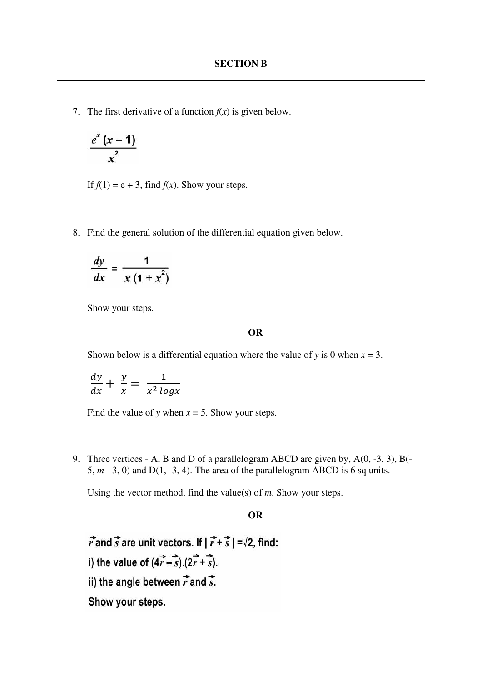7. The first derivative of a function  $f(x)$  is given below.

$$
\frac{e^x(x-1)}{x^2}
$$

If  $f(1) = e + 3$ , find  $f(x)$ . Show your steps.

8. Find the general solution of the differential equation given below.

$$
\frac{dy}{dx} = \frac{1}{x(1+x^2)}
$$

Show your steps.

### **OR**

Shown below is a differential equation where the value of *y* is 0 when  $x = 3$ .

$$
\frac{dy}{dx} + \frac{y}{x} = \frac{1}{x^2 \log x}
$$

Find the value of *y* when  $x = 5$ . Show your steps.

9. Three vertices - A, B and D of a parallelogram ABCD are given by, A(0, -3, 3), B(- 5,  $m - 3$ , 0) and D(1, -3, 4). The area of the parallelogram ABCD is 6 sq units.

Using the vector method, find the value(s) of *m*. Show your steps.

#### **OR**

 $\vec{r}$  and  $\vec{s}$  are unit vectors. If  $|\vec{r}+\vec{s}| = \sqrt{2}$ , find: i) the value of  $(4\vec{r} - \vec{s})$ .  $(2\vec{r} + \vec{s})$ . ii) the angle between  $\vec{r}$  and  $\vec{s}$ . Show your steps.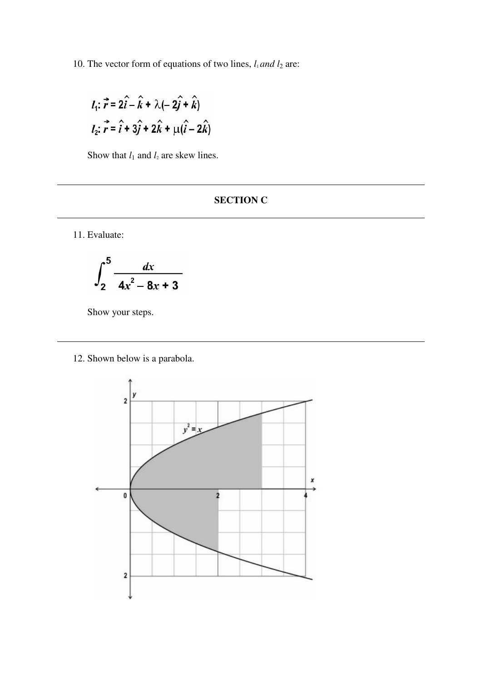10. The vector form of equations of two lines,  $l_1$  *and*  $l_2$  are:

$$
l_1: \vec{r} = 2\hat{i} - \hat{k} + \lambda(-2\hat{j} + \hat{k})
$$
  

$$
l_2: \vec{r} = \hat{i} + 3\hat{j} + 2\hat{k} + \mu(\hat{i} - 2\hat{k})
$$

Show that  $l_1$  and  $l_2$  are skew lines.

# **SECTION C**

11. Evaluate:

$$
\int_2^5 \frac{dx}{4x^2-8x+3}
$$

Show your steps.

12. Shown below is a parabola.

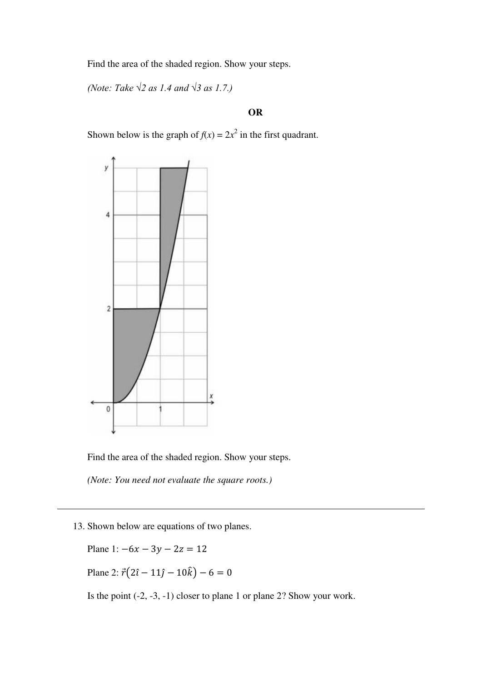Find the area of the shaded region. Show your steps.

*(Note: Take √2 as 1.4 and √3 as 1.7.)*

# **OR**

Shown below is the graph of  $f(x) = 2x^2$  in the first quadrant.



Find the area of the shaded region. Show your steps.

*(Note: You need not evaluate the square roots.)* 

13. Shown below are equations of two planes.

Plane 1:  $-6x - 3y - 2z = 12$ Plane 2:  $\vec{r}(2\hat{i} - 11\hat{j} - 10\hat{k}) - 6 = 0$ 

Is the point (-2, -3, -1) closer to plane 1 or plane 2? Show your work.